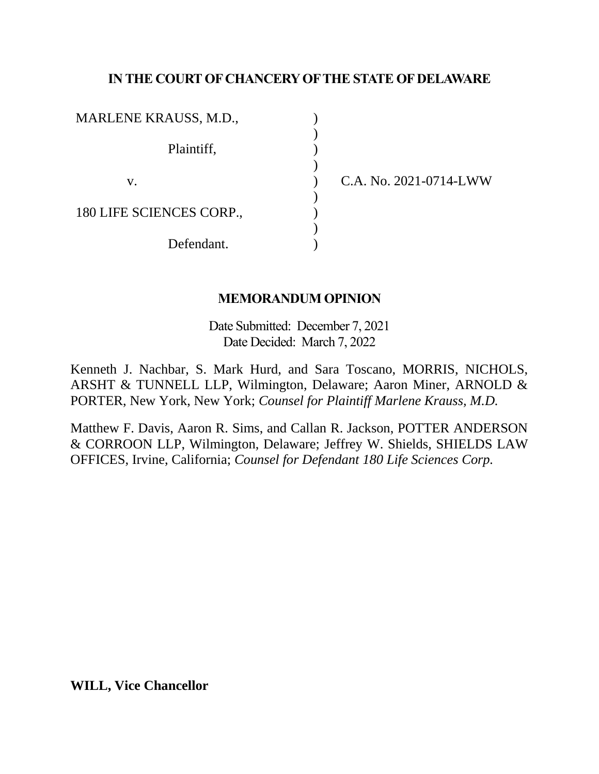# **IN THE COURT OF CHANCERY OF THE STATE OF DELAWARE**

| MARLENE KRAUSS, M.D.,    |  |
|--------------------------|--|
| Plaintiff,               |  |
| V.                       |  |
| 180 LIFE SCIENCES CORP., |  |
| Defendant.               |  |

C.A. No. 2021-0714-LWW

#### **MEMORANDUM OPINION**

Date Submitted: December 7, 2021 Date Decided: March 7, 2022

Kenneth J. Nachbar, S. Mark Hurd, and Sara Toscano, MORRIS, NICHOLS, ARSHT & TUNNELL LLP, Wilmington, Delaware; Aaron Miner, ARNOLD & PORTER, New York, New York; *Counsel for Plaintiff Marlene Krauss, M.D.*

Matthew F. Davis, Aaron R. Sims, and Callan R. Jackson, POTTER ANDERSON & CORROON LLP, Wilmington, Delaware; Jeffrey W. Shields, SHIELDS LAW OFFICES, Irvine, California; *Counsel for Defendant 180 Life Sciences Corp.*

**WILL, Vice Chancellor**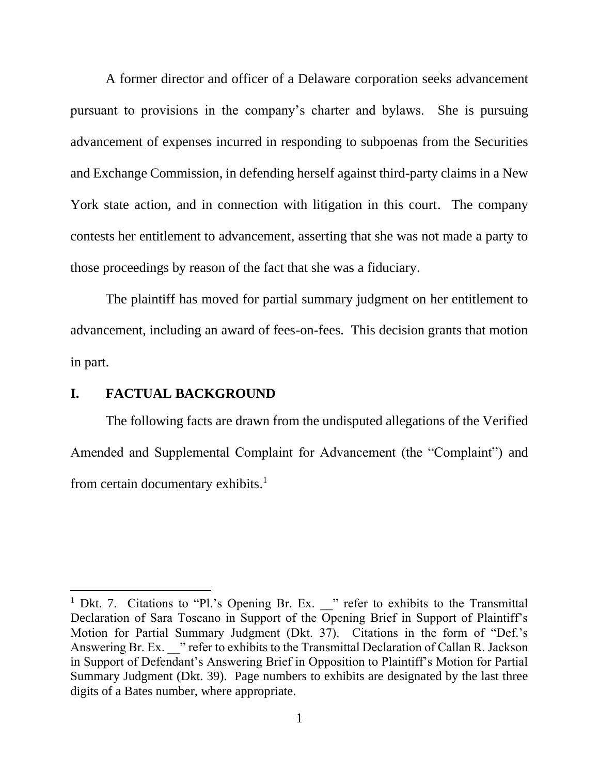A former director and officer of a Delaware corporation seeks advancement pursuant to provisions in the company's charter and bylaws. She is pursuing advancement of expenses incurred in responding to subpoenas from the Securities and Exchange Commission, in defending herself against third-party claims in a New York state action, and in connection with litigation in this court. The company contests her entitlement to advancement, asserting that she was not made a party to those proceedings by reason of the fact that she was a fiduciary.

The plaintiff has moved for partial summary judgment on her entitlement to advancement, including an award of fees-on-fees. This decision grants that motion in part.

## **I. FACTUAL BACKGROUND**

The following facts are drawn from the undisputed allegations of the Verified Amended and Supplemental Complaint for Advancement (the "Complaint") and from certain documentary exhibits.<sup>1</sup>

<sup>&</sup>lt;sup>1</sup> Dkt. 7. Citations to "Pl.'s Opening Br. Ex. <br>
<sup>1</sup> refer to exhibits to the Transmittal Declaration of Sara Toscano in Support of the Opening Brief in Support of Plaintiff's Motion for Partial Summary Judgment (Dkt. 37). Citations in the form of "Def.'s Answering Br. Ex. " refer to exhibits to the Transmittal Declaration of Callan R. Jackson in Support of Defendant's Answering Brief in Opposition to Plaintiff's Motion for Partial Summary Judgment (Dkt. 39). Page numbers to exhibits are designated by the last three digits of a Bates number, where appropriate.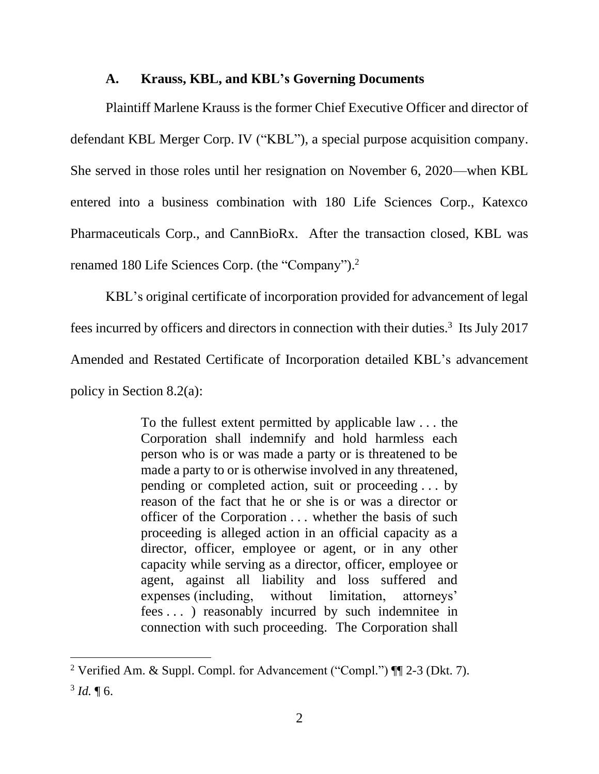#### **A. Krauss, KBL, and KBL's Governing Documents**

Plaintiff Marlene Krauss is the former Chief Executive Officer and director of defendant KBL Merger Corp. IV ("KBL"), a special purpose acquisition company. She served in those roles until her resignation on November 6, 2020—when KBL entered into a business combination with 180 Life Sciences Corp., Katexco Pharmaceuticals Corp., and CannBioRx. After the transaction closed, KBL was renamed 180 Life Sciences Corp. (the "Company").<sup>2</sup>

KBL's original certificate of incorporation provided for advancement of legal fees incurred by officers and directors in connection with their duties.<sup>3</sup> Its July 2017 Amended and Restated Certificate of Incorporation detailed KBL's advancement policy in Section 8.2(a):

> To the fullest extent permitted by applicable law . . . the Corporation shall indemnify and hold harmless each person who is or was made a party or is threatened to be made a party to or is otherwise involved in any threatened, pending or completed action, suit or proceeding . . . by reason of the fact that he or she is or was a director or officer of the Corporation . . . whether the basis of such proceeding is alleged action in an official capacity as a director, officer, employee or agent, or in any other capacity while serving as a director, officer, employee or agent, against all liability and loss suffered and expenses (including, without limitation, attorneys' fees . . . ) reasonably incurred by such indemnitee in connection with such proceeding. The Corporation shall

<sup>&</sup>lt;sup>2</sup> Verified Am. & Suppl. Compl. for Advancement ("Compl.")  $\P$ [2-3 (Dkt. 7).  $3$  *Id.*  $\P$  6.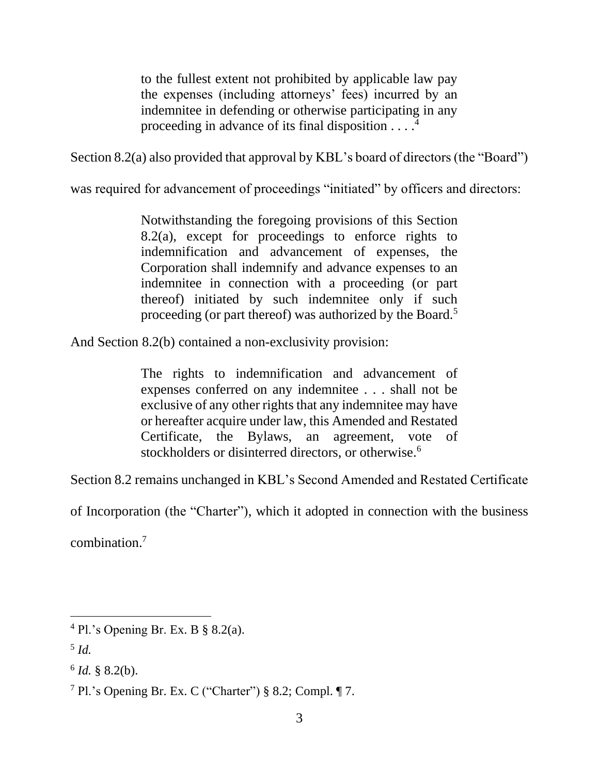to the fullest extent not prohibited by applicable law pay the expenses (including attorneys' fees) incurred by an indemnitee in defending or otherwise participating in any proceeding in advance of its final disposition  $\dots$ <sup>4</sup>

Section 8.2(a) also provided that approval by KBL's board of directors (the "Board")

was required for advancement of proceedings "initiated" by officers and directors:

Notwithstanding the foregoing provisions of this Section 8.2(a), except for proceedings to enforce rights to indemnification and advancement of expenses, the Corporation shall indemnify and advance expenses to an indemnitee in connection with a proceeding (or part thereof) initiated by such indemnitee only if such proceeding (or part thereof) was authorized by the Board.<sup>5</sup>

And Section 8.2(b) contained a non-exclusivity provision:

The rights to indemnification and advancement of expenses conferred on any indemnitee . . . shall not be exclusive of any other rights that any indemnitee may have or hereafter acquire under law, this Amended and Restated Certificate, the Bylaws, an agreement, vote of stockholders or disinterred directors, or otherwise.<sup>6</sup>

Section 8.2 remains unchanged in KBL's Second Amended and Restated Certificate

of Incorporation (the "Charter"), which it adopted in connection with the business

combination. 7

 $4$  Pl.'s Opening Br. Ex. B  $\S$  8.2(a).

<sup>5</sup> *Id.*

 $6$  *Id.* § 8.2(b).

<sup>&</sup>lt;sup>7</sup> Pl.'s Opening Br. Ex. C ("Charter")  $§ 8.2$ ; Compl. ¶ 7.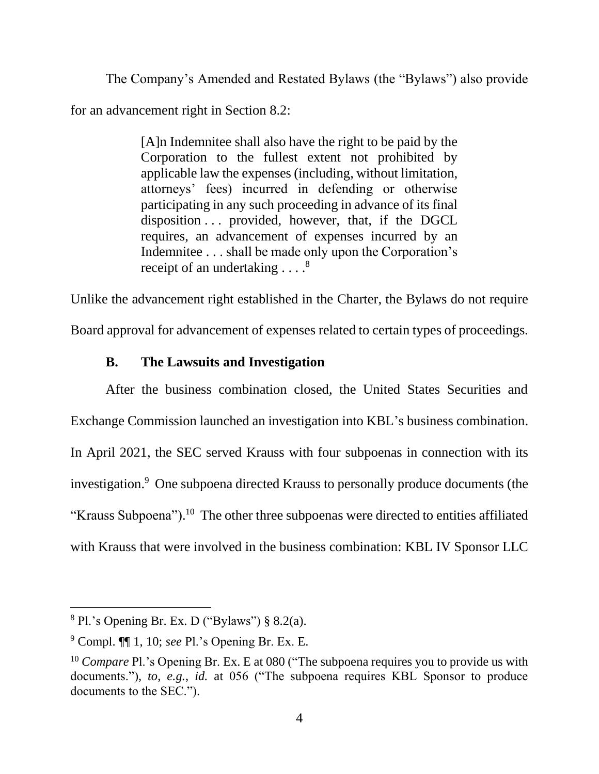The Company's Amended and Restated Bylaws (the "Bylaws") also provide for an advancement right in Section 8.2:

> [A]n Indemnitee shall also have the right to be paid by the Corporation to the fullest extent not prohibited by applicable law the expenses (including, without limitation, attorneys' fees) incurred in defending or otherwise participating in any such proceeding in advance of its final disposition . . . provided, however, that, if the DGCL requires, an advancement of expenses incurred by an Indemnitee . . . shall be made only upon the Corporation's receipt of an undertaking . . . .<sup>8</sup>

Unlike the advancement right established in the Charter, the Bylaws do not require

Board approval for advancement of expenses related to certain types of proceedings.

# **B. The Lawsuits and Investigation**

After the business combination closed, the United States Securities and Exchange Commission launched an investigation into KBL's business combination. In April 2021, the SEC served Krauss with four subpoenas in connection with its investigation.<sup>9</sup> One subpoena directed Krauss to personally produce documents (the "Krauss Subpoena").<sup>10</sup> The other three subpoenas were directed to entities affiliated with Krauss that were involved in the business combination: KBL IV Sponsor LLC

 $8$  Pl.'s Opening Br. Ex. D ("Bylaws") § 8.2(a).

<sup>9</sup> Compl. ¶¶ 1, 10; *see* Pl.'s Opening Br. Ex. E.

<sup>&</sup>lt;sup>10</sup> *Compare* Pl.'s Opening Br. Ex. E at 080 ("The subpoena requires you to provide us with documents."), *to*, *e.g.*, *id.* at 056 ("The subpoena requires KBL Sponsor to produce documents to the SEC.").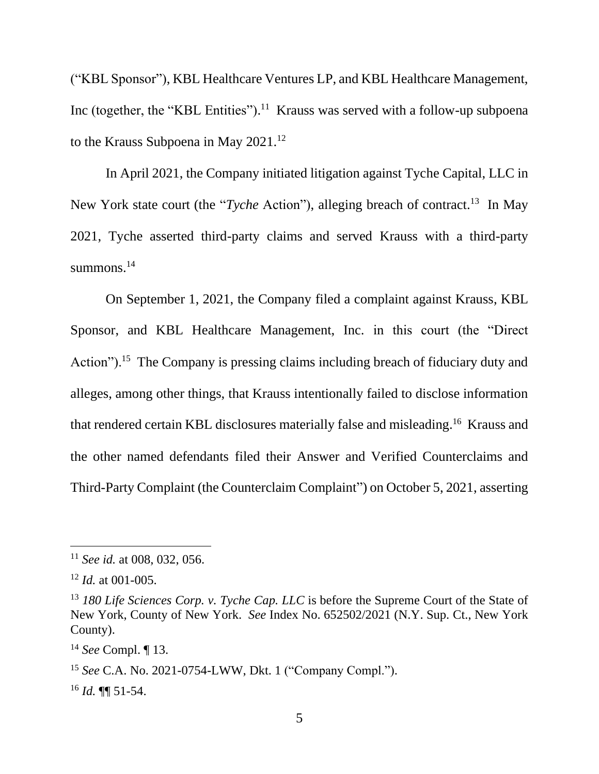("KBL Sponsor"), KBL Healthcare Ventures LP, and KBL Healthcare Management, Inc (together, the "KBL Entities").<sup>11</sup> Krauss was served with a follow-up subpoena to the Krauss Subpoena in May 2021.<sup>12</sup>

In April 2021, the Company initiated litigation against Tyche Capital, LLC in New York state court (the "*Tyche* Action"), alleging breach of contract.<sup>13</sup> In May 2021, Tyche asserted third-party claims and served Krauss with a third-party summons.<sup>14</sup>

On September 1, 2021, the Company filed a complaint against Krauss, KBL Sponsor, and KBL Healthcare Management, Inc. in this court (the "Direct Action").<sup>15</sup> The Company is pressing claims including breach of fiduciary duty and alleges, among other things, that Krauss intentionally failed to disclose information that rendered certain KBL disclosures materially false and misleading.<sup>16</sup> Krauss and the other named defendants filed their Answer and Verified Counterclaims and Third-Party Complaint (the Counterclaim Complaint") on October 5, 2021, asserting

<sup>11</sup> *See id.* at 008, 032, 056.

<sup>12</sup> *Id.* at 001-005.

<sup>13</sup> *180 Life Sciences Corp. v. Tyche Cap. LLC* is before the Supreme Court of the State of New York, County of New York. *See* Index No. 652502/2021 (N.Y. Sup. Ct., New York County).

<sup>14</sup> *See* Compl. ¶ 13.

<sup>15</sup> *See* C.A. No. 2021-0754-LWW, Dkt. 1 ("Company Compl.").

<sup>16</sup> *Id.* ¶¶ 51-54.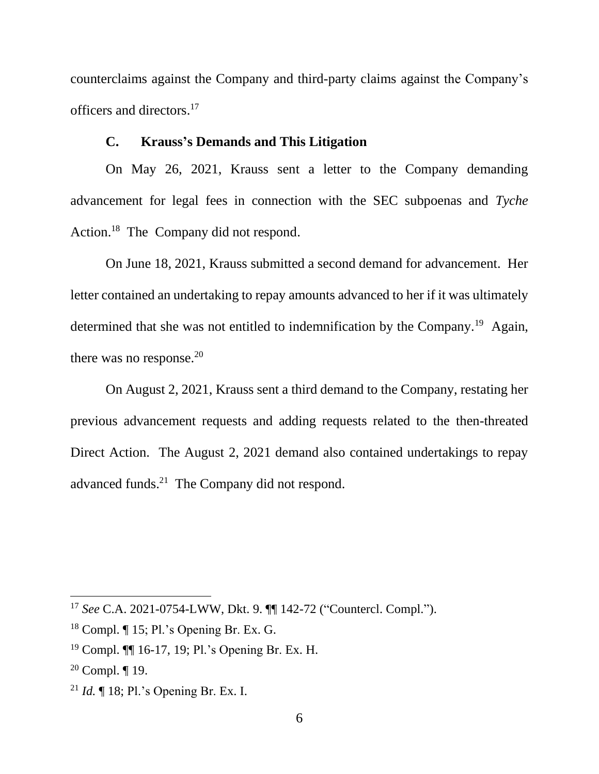counterclaims against the Company and third-party claims against the Company's officers and directors. 17

## **C. Krauss's Demands and This Litigation**

On May 26, 2021, Krauss sent a letter to the Company demanding advancement for legal fees in connection with the SEC subpoenas and *Tyche*  Action.<sup>18</sup> The Company did not respond.

On June 18, 2021, Krauss submitted a second demand for advancement. Her letter contained an undertaking to repay amounts advanced to her if it was ultimately determined that she was not entitled to indemnification by the Company.<sup>19</sup> Again, there was no response. $20$ 

On August 2, 2021, Krauss sent a third demand to the Company, restating her previous advancement requests and adding requests related to the then-threated Direct Action. The August 2, 2021 demand also contained undertakings to repay advanced funds.<sup>21</sup> The Company did not respond.

<sup>17</sup> *See* C.A. 2021-0754-LWW, Dkt. 9. ¶¶ 142-72 ("Countercl. Compl.").

 $18$  Compl.  $\P$  15; Pl.'s Opening Br. Ex. G.

<sup>19</sup> Compl. ¶¶ 16-17, 19; Pl.'s Opening Br. Ex. H.

<sup>&</sup>lt;sup>20</sup> Compl.  $\P$  19.

<sup>21</sup> *Id.* ¶ 18; Pl.'s Opening Br. Ex. I.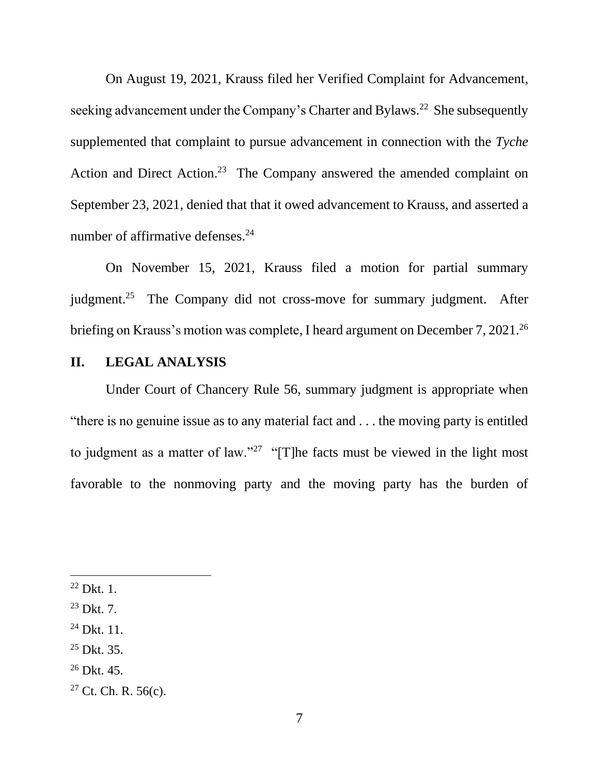On August 19, 2021, Krauss filed her Verified Complaint for Advancement, seeking advancement under the Company's Charter and Bylaws.<sup>22</sup> She subsequently supplemented that complaint to pursue advancement in connection with the *Tyche* Action and Direct Action.<sup>23</sup> The Company answered the amended complaint on September 23, 2021, denied that that it owed advancement to Krauss, and asserted a number of affirmative defenses.<sup>24</sup>

On November 15, 2021, Krauss filed a motion for partial summary judgment.<sup>25</sup> The Company did not cross-move for summary judgment. After briefing on Krauss's motion was complete, I heard argument on December 7, 2021.<sup>26</sup>

## **II. LEGAL ANALYSIS**

Under Court of Chancery Rule 56, summary judgment is appropriate when "there is no genuine issue as to any material fact and . . . the moving party is entitled to judgment as a matter of law."<sup>27</sup> "[T]he facts must be viewed in the light most favorable to the nonmoving party and the moving party has the burden of

 $26$  Dkt. 45.

 $22$  Dkt. 1.

 $23$  Dkt. 7.

 $^{24}$  Dkt. 11.

 $25$  Dkt. 35.

 $27$  Ct. Ch. R. 56(c).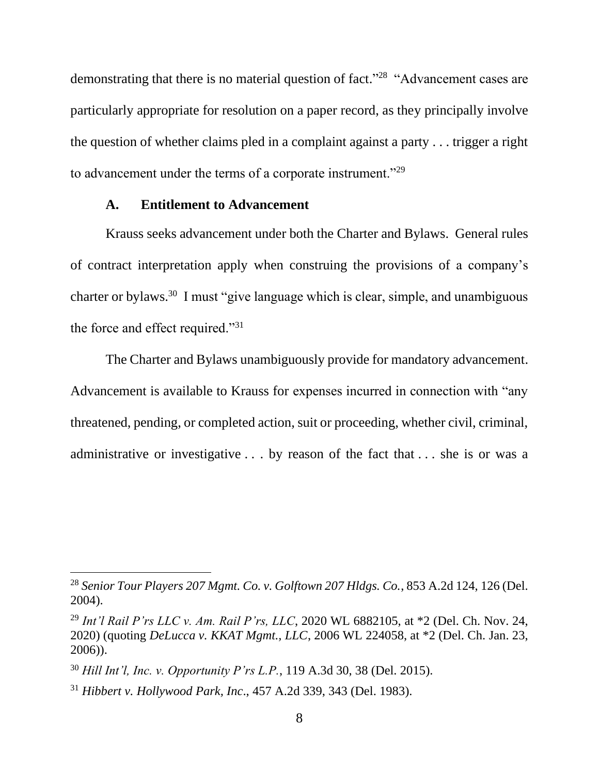demonstrating that there is no material question of fact."<sup>28</sup> "Advancement cases are particularly appropriate for resolution on a paper record, as they principally involve the question of whether claims pled in a complaint against a party . . . trigger a right to advancement under the terms of a corporate instrument."<sup>29</sup>

#### **A. Entitlement to Advancement**

Krauss seeks advancement under both the Charter and Bylaws. General rules of contract interpretation apply when construing the provisions of a company's charter or bylaws.<sup>30</sup> I must "give language which is clear, simple, and unambiguous the force and effect required."<sup>31</sup>

The Charter and Bylaws unambiguously provide for mandatory advancement. Advancement is available to Krauss for expenses incurred in connection with "any threatened, pending, or completed action, suit or proceeding, whether civil, criminal, administrative or investigative . . . by reason of the fact that . . . she is or was a

<sup>28</sup> *Senior Tour Players 207 Mgmt. Co. v. Golftown 207 Hldgs. Co.*, 853 A.2d 124, 126 (Del. 2004).

<sup>29</sup> *Int'l Rail P'rs LLC v. Am. Rail P'rs, LLC*, 2020 WL 6882105, at \*2 (Del. Ch. Nov. 24, 2020) (quoting *DeLucca v. KKAT Mgmt., LLC*, 2006 WL 224058, at \*2 (Del. Ch. Jan. 23, 2006)).

<sup>30</sup> *Hill Int'l, Inc. v. Opportunity P'rs L.P.*, 119 A.3d 30, 38 (Del. 2015).

<sup>31</sup> *Hibbert v. Hollywood Park, Inc*., 457 A.2d 339, 343 (Del. 1983).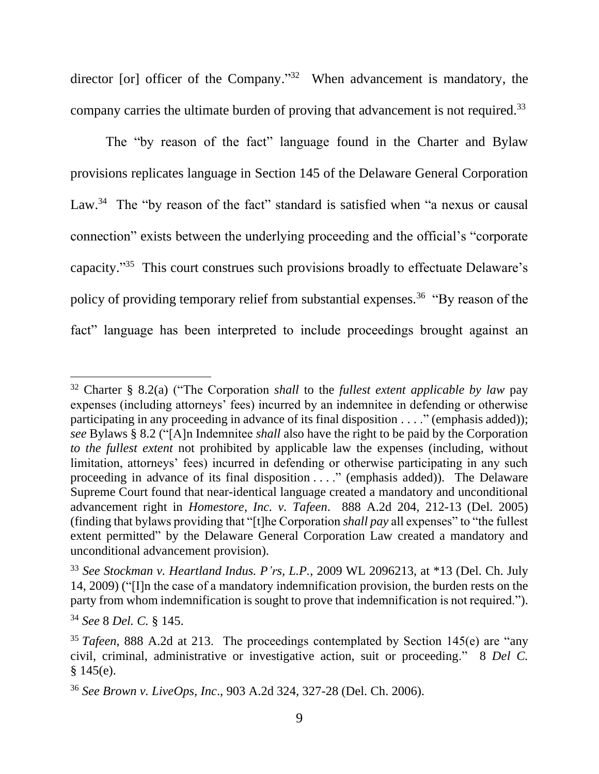director [or] officer of the Company."<sup>32</sup> When advancement is mandatory, the company carries the ultimate burden of proving that advancement is not required.<sup>33</sup>

The "by reason of the fact" language found in the Charter and Bylaw provisions replicates language in Section 145 of the Delaware General Corporation Law.<sup>34</sup> The "by reason of the fact" standard is satisfied when "a nexus or causal connection" exists between the underlying proceeding and the official's "corporate capacity." 35 This court construes such provisions broadly to effectuate Delaware's policy of providing temporary relief from substantial expenses.<sup>36</sup> "By reason of the fact" language has been interpreted to include proceedings brought against an

<sup>32</sup> Charter § 8.2(a) ("The Corporation *shall* to the *fullest extent applicable by law* pay expenses (including attorneys' fees) incurred by an indemnitee in defending or otherwise participating in any proceeding in advance of its final disposition . . . ." (emphasis added)); *see* Bylaws § 8.2 ("[A]n Indemnitee *shall* also have the right to be paid by the Corporation *to the fullest extent* not prohibited by applicable law the expenses (including, without limitation, attorneys' fees) incurred in defending or otherwise participating in any such proceeding in advance of its final disposition . . . ." (emphasis added)). The Delaware Supreme Court found that near-identical language created a mandatory and unconditional advancement right in *Homestore, Inc. v. Tafeen*. 888 A.2d 204, 212-13 (Del. 2005) (finding that bylaws providing that "[t]he Corporation *shall pay* all expenses" to "the fullest extent permitted" by the Delaware General Corporation Law created a mandatory and unconditional advancement provision).

<sup>33</sup> *See Stockman v. Heartland Indus. P'rs, L.P.*, 2009 WL 2096213, at \*13 (Del. Ch. July 14, 2009) ("[I]n the case of a mandatory indemnification provision, the burden rests on the party from whom indemnification is sought to prove that indemnification is not required.").

<sup>34</sup> *See* 8 *Del. C.* § 145.

<sup>&</sup>lt;sup>35</sup> *Tafeen*, 888 A.2d at 213. The proceedings contemplated by Section 145(e) are "any civil, criminal, administrative or investigative action, suit or proceeding." 8 *Del C.*   $§ 145(e).$ 

<sup>36</sup> *See Brown v. LiveOps, Inc*., 903 A.2d 324, 327-28 (Del. Ch. 2006).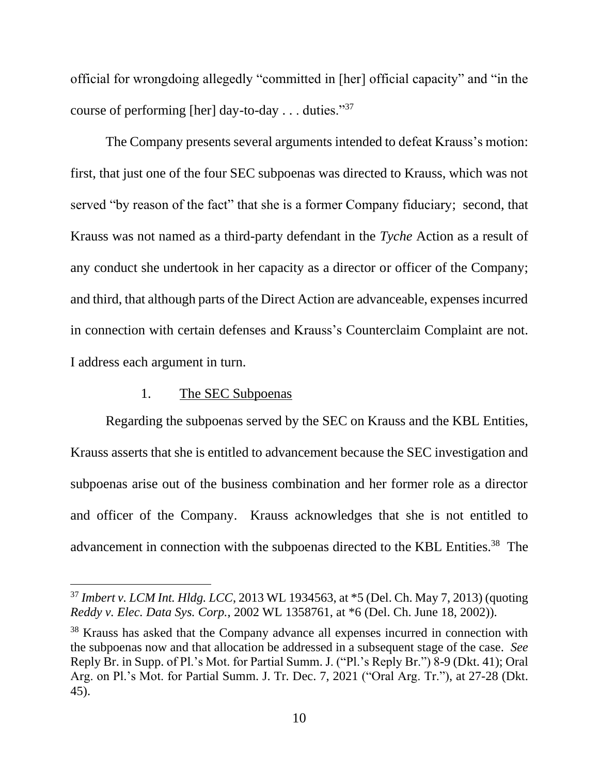official for wrongdoing allegedly "committed in [her] official capacity" and "in the course of performing [her] day-to-day . . . duties."<sup>37</sup>

The Company presents several arguments intended to defeat Krauss's motion: first, that just one of the four SEC subpoenas was directed to Krauss, which was not served "by reason of the fact" that she is a former Company fiduciary; second, that Krauss was not named as a third-party defendant in the *Tyche* Action as a result of any conduct she undertook in her capacity as a director or officer of the Company; and third, that although parts of the Direct Action are advanceable, expenses incurred in connection with certain defenses and Krauss's Counterclaim Complaint are not. I address each argument in turn.

### 1. The SEC Subpoenas

Regarding the subpoenas served by the SEC on Krauss and the KBL Entities, Krauss asserts that she is entitled to advancement because the SEC investigation and subpoenas arise out of the business combination and her former role as a director and officer of the Company. Krauss acknowledges that she is not entitled to advancement in connection with the subpoenas directed to the KBL Entities.<sup>38</sup> The

<sup>37</sup> *Imbert v. LCM Int. Hldg. LCC*, 2013 WL 1934563, at \*5 (Del. Ch. May 7, 2013) (quoting *Reddy v. Elec. Data Sys. Corp.*, 2002 WL 1358761, at \*6 (Del. Ch. June 18, 2002)).

<sup>&</sup>lt;sup>38</sup> Krauss has asked that the Company advance all expenses incurred in connection with the subpoenas now and that allocation be addressed in a subsequent stage of the case. *See*  Reply Br. in Supp. of Pl.'s Mot. for Partial Summ. J. ("Pl.'s Reply Br.") 8-9 (Dkt. 41); Oral Arg. on Pl.'s Mot. for Partial Summ. J. Tr. Dec. 7, 2021 ("Oral Arg. Tr."), at 27-28 (Dkt. 45).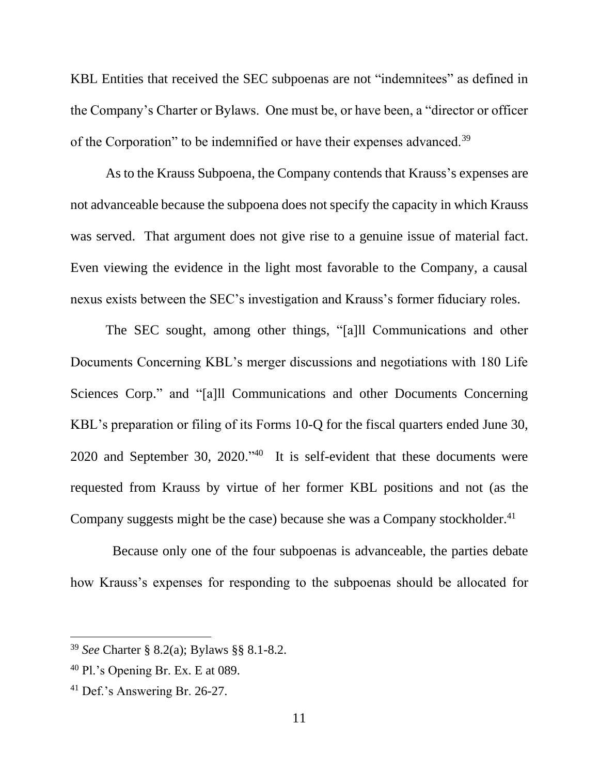KBL Entities that received the SEC subpoenas are not "indemnitees" as defined in the Company's Charter or Bylaws. One must be, or have been, a "director or officer of the Corporation" to be indemnified or have their expenses advanced.<sup>39</sup>

As to the Krauss Subpoena, the Company contends that Krauss's expenses are not advanceable because the subpoena does not specify the capacity in which Krauss was served. That argument does not give rise to a genuine issue of material fact. Even viewing the evidence in the light most favorable to the Company, a causal nexus exists between the SEC's investigation and Krauss's former fiduciary roles.

The SEC sought, among other things, "[a]ll Communications and other Documents Concerning KBL's merger discussions and negotiations with 180 Life Sciences Corp." and "[a]ll Communications and other Documents Concerning KBL's preparation or filing of its Forms 10-Q for the fiscal quarters ended June 30, 2020 and September 30, 2020." 40 It is self-evident that these documents were requested from Krauss by virtue of her former KBL positions and not (as the Company suggests might be the case) because she was a Company stockholder.<sup>41</sup>

 Because only one of the four subpoenas is advanceable, the parties debate how Krauss's expenses for responding to the subpoenas should be allocated for

<sup>39</sup> *See* Charter § 8.2(a); Bylaws §§ 8.1-8.2.

<sup>40</sup> Pl.'s Opening Br. Ex. E at 089.

<sup>41</sup> Def.'s Answering Br. 26-27.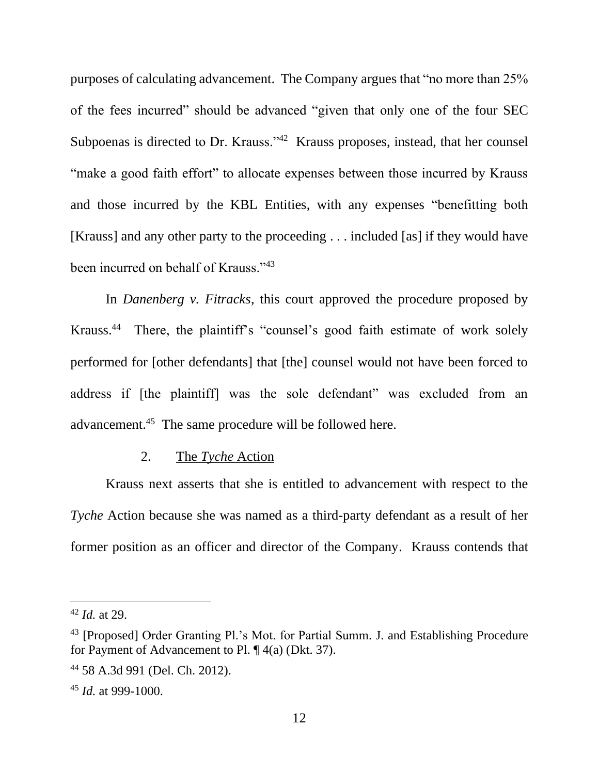purposes of calculating advancement. The Company argues that "no more than 25% of the fees incurred" should be advanced "given that only one of the four SEC Subpoenas is directed to Dr. Krauss."<sup>42</sup> Krauss proposes, instead, that her counsel "make a good faith effort" to allocate expenses between those incurred by Krauss and those incurred by the KBL Entities, with any expenses "benefitting both [Krauss] and any other party to the proceeding . . . included [as] if they would have been incurred on behalf of Krauss."<sup>43</sup>

In *Danenberg v. Fitracks*, this court approved the procedure proposed by Krauss.<sup>44</sup> There, the plaintiff's "counsel's good faith estimate of work solely performed for [other defendants] that [the] counsel would not have been forced to address if [the plaintiff] was the sole defendant" was excluded from an advancement.<sup>45</sup> The same procedure will be followed here.

#### 2. The *Tyche* Action

Krauss next asserts that she is entitled to advancement with respect to the *Tyche* Action because she was named as a third-party defendant as a result of her former position as an officer and director of the Company. Krauss contends that

<sup>42</sup> *Id.* at 29.

<sup>&</sup>lt;sup>43</sup> [Proposed] Order Granting Pl.'s Mot. for Partial Summ. J. and Establishing Procedure for Payment of Advancement to Pl. ¶ 4(a) (Dkt. 37).

<sup>44</sup> 58 A.3d 991 (Del. Ch. 2012).

<sup>45</sup> *Id.* at 999-1000.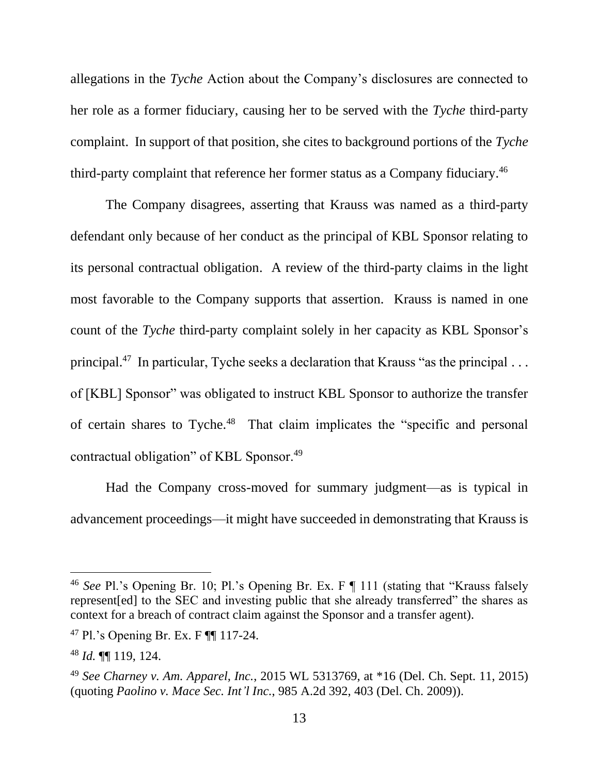allegations in the *Tyche* Action about the Company's disclosures are connected to her role as a former fiduciary, causing her to be served with the *Tyche* third-party complaint. In support of that position, she cites to background portions of the *Tyche*  third-party complaint that reference her former status as a Company fiduciary.<sup>46</sup>

The Company disagrees, asserting that Krauss was named as a third-party defendant only because of her conduct as the principal of KBL Sponsor relating to its personal contractual obligation. A review of the third-party claims in the light most favorable to the Company supports that assertion. Krauss is named in one count of the *Tyche* third-party complaint solely in her capacity as KBL Sponsor's principal.<sup>47</sup> In particular, Tyche seeks a declaration that Krauss "as the principal ... of [KBL] Sponsor" was obligated to instruct KBL Sponsor to authorize the transfer of certain shares to Tyche.<sup>48</sup> That claim implicates the "specific and personal contractual obligation" of KBL Sponsor.<sup>49</sup>

Had the Company cross-moved for summary judgment—as is typical in advancement proceedings—it might have succeeded in demonstrating that Krauss is

<sup>46</sup> *See* Pl.'s Opening Br. 10; Pl.'s Opening Br. Ex. F ¶ 111 (stating that "Krauss falsely represent[ed] to the SEC and investing public that she already transferred" the shares as context for a breach of contract claim against the Sponsor and a transfer agent).

<sup>47</sup> Pl.'s Opening Br. Ex. F ¶¶ 117-24.

<sup>48</sup> *Id.* ¶¶ 119, 124.

<sup>49</sup> *See Charney v. Am. Apparel, Inc.*, 2015 WL 5313769, at \*16 (Del. Ch. Sept. 11, 2015) (quoting *Paolino v. Mace Sec. Int'l Inc.*, 985 A.2d 392, 403 (Del. Ch. 2009)).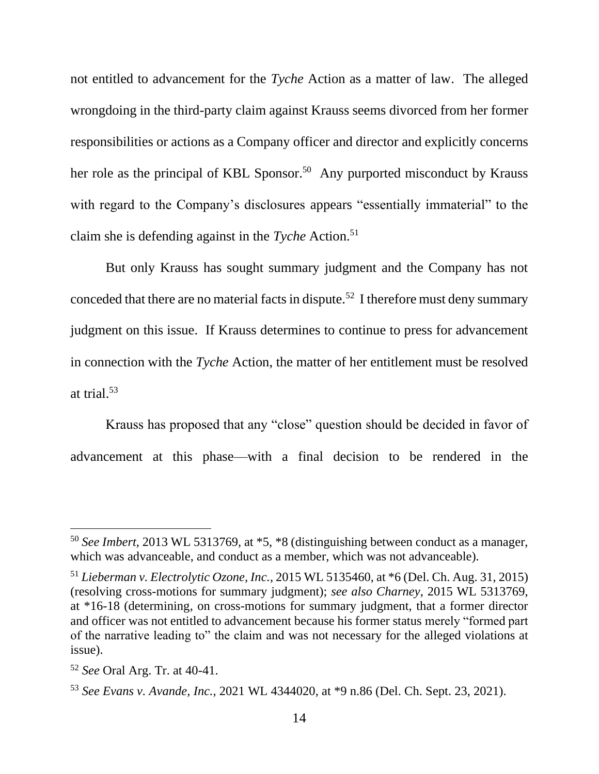not entitled to advancement for the *Tyche* Action as a matter of law. The alleged wrongdoing in the third-party claim against Krauss seems divorced from her former responsibilities or actions as a Company officer and director and explicitly concerns her role as the principal of KBL Sponsor.<sup>50</sup> Any purported misconduct by Krauss with regard to the Company's disclosures appears "essentially immaterial" to the claim she is defending against in the *Tyche* Action.<sup>51</sup>

But only Krauss has sought summary judgment and the Company has not conceded that there are no material facts in dispute.<sup>52</sup> I therefore must deny summary judgment on this issue. If Krauss determines to continue to press for advancement in connection with the *Tyche* Action, the matter of her entitlement must be resolved at trial.<sup>53</sup>

Krauss has proposed that any "close" question should be decided in favor of advancement at this phase—with a final decision to be rendered in the

<sup>50</sup> *See Imbert*, 2013 WL 5313769, at \*5, \*8 (distinguishing between conduct as a manager, which was advanceable, and conduct as a member, which was not advanceable).

<sup>51</sup> *Lieberman v. Electrolytic Ozone, Inc.*, 2015 WL 5135460, at \*6 (Del. Ch. Aug. 31, 2015) (resolving cross-motions for summary judgment); *see also Charney*, 2015 WL 5313769, at \*16-18 (determining, on cross-motions for summary judgment, that a former director and officer was not entitled to advancement because his former status merely "formed part of the narrative leading to" the claim and was not necessary for the alleged violations at issue).

<sup>52</sup> *See* Oral Arg. Tr. at 40-41.

<sup>53</sup> *See Evans v. Avande, Inc.*, 2021 WL 4344020, at \*9 n.86 (Del. Ch. Sept. 23, 2021).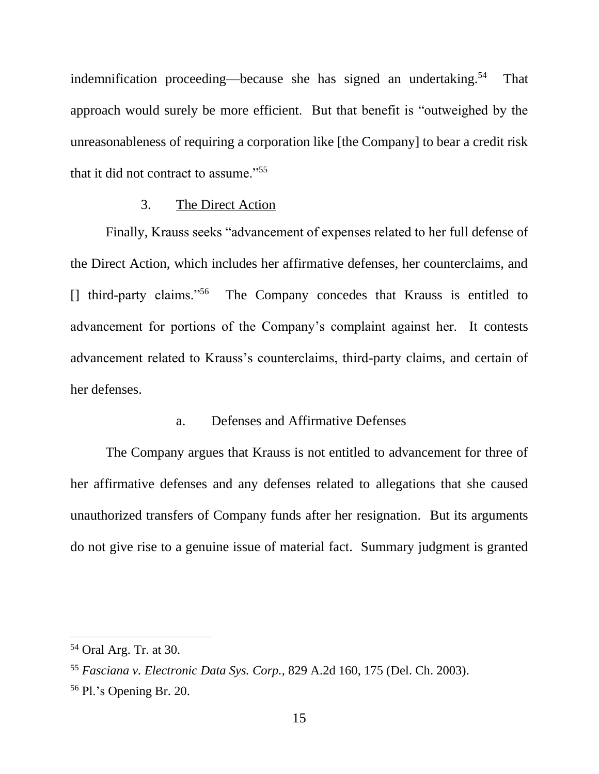indemnification proceeding—because she has signed an undertaking.<sup>54</sup> That approach would surely be more efficient. But that benefit is "outweighed by the unreasonableness of requiring a corporation like [the Company] to bear a credit risk that it did not contract to assume."<sup>55</sup>

#### 3. The Direct Action

Finally, Krauss seeks "advancement of expenses related to her full defense of the Direct Action, which includes her affirmative defenses, her counterclaims, and [] third-party claims."<sup>56</sup> The Company concedes that Krauss is entitled to advancement for portions of the Company's complaint against her. It contests advancement related to Krauss's counterclaims, third-party claims, and certain of her defenses.

## a. Defenses and Affirmative Defenses

The Company argues that Krauss is not entitled to advancement for three of her affirmative defenses and any defenses related to allegations that she caused unauthorized transfers of Company funds after her resignation. But its arguments do not give rise to a genuine issue of material fact. Summary judgment is granted

<sup>54</sup> Oral Arg. Tr. at 30.

<sup>55</sup> *Fasciana v. Electronic Data Sys. Corp.*, 829 A.2d 160, 175 (Del. Ch. 2003).

<sup>56</sup> Pl.'s Opening Br. 20.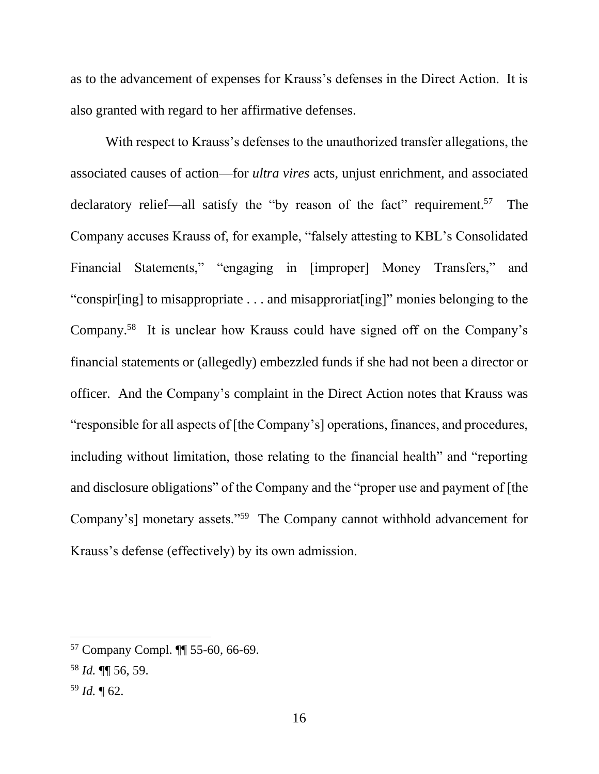as to the advancement of expenses for Krauss's defenses in the Direct Action. It is also granted with regard to her affirmative defenses.

With respect to Krauss's defenses to the unauthorized transfer allegations, the associated causes of action—for *ultra vires* acts, unjust enrichment, and associated declaratory relief—all satisfy the "by reason of the fact" requirement.<sup>57</sup> The Company accuses Krauss of, for example, "falsely attesting to KBL's Consolidated Financial Statements," "engaging in [improper] Money Transfers," and "conspir[ing] to misappropriate . . . and misapproriat[ing]" monies belonging to the Company.<sup>58</sup> It is unclear how Krauss could have signed off on the Company's financial statements or (allegedly) embezzled funds if she had not been a director or officer. And the Company's complaint in the Direct Action notes that Krauss was "responsible for all aspects of [the Company's] operations, finances, and procedures, including without limitation, those relating to the financial health" and "reporting and disclosure obligations" of the Company and the "proper use and payment of [the Company's] monetary assets."<sup>59</sup> The Company cannot withhold advancement for Krauss's defense (effectively) by its own admission.

<sup>57</sup> Company Compl. ¶¶ 55-60, 66-69.

<sup>58</sup> *Id.* ¶¶ 56, 59.

<sup>59</sup> *Id.* ¶ 62.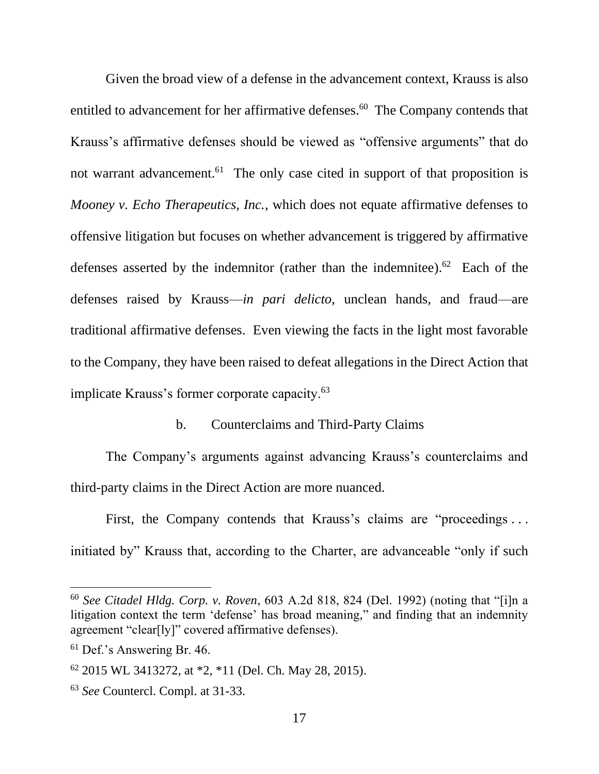Given the broad view of a defense in the advancement context, Krauss is also entitled to advancement for her affirmative defenses.<sup>60</sup> The Company contends that Krauss's affirmative defenses should be viewed as "offensive arguments" that do not warrant advancement.<sup>61</sup> The only case cited in support of that proposition is *Mooney v. Echo Therapeutics, Inc.*, which does not equate affirmative defenses to offensive litigation but focuses on whether advancement is triggered by affirmative defenses asserted by the indemnitor (rather than the indemnitee).<sup>62</sup> Each of the defenses raised by Krauss—*in pari delicto*, unclean hands, and fraud—are traditional affirmative defenses. Even viewing the facts in the light most favorable to the Company, they have been raised to defeat allegations in the Direct Action that implicate Krauss's former corporate capacity.<sup>63</sup>

## b. Counterclaims and Third-Party Claims

The Company's arguments against advancing Krauss's counterclaims and third-party claims in the Direct Action are more nuanced.

First, the Company contends that Krauss's claims are "proceedings... initiated by" Krauss that, according to the Charter, are advanceable "only if such

<sup>60</sup> *See Citadel Hldg. Corp. v. Roven*, 603 A.2d 818, 824 (Del. 1992) (noting that "[i]n a litigation context the term 'defense' has broad meaning," and finding that an indemnity agreement "clear[ly]" covered affirmative defenses).

<sup>&</sup>lt;sup>61</sup> Def.'s Answering Br. 46.

<sup>62</sup> 2015 WL 3413272, at \*2, \*11 (Del. Ch. May 28, 2015).

<sup>63</sup> *See* Countercl. Compl. at 31-33.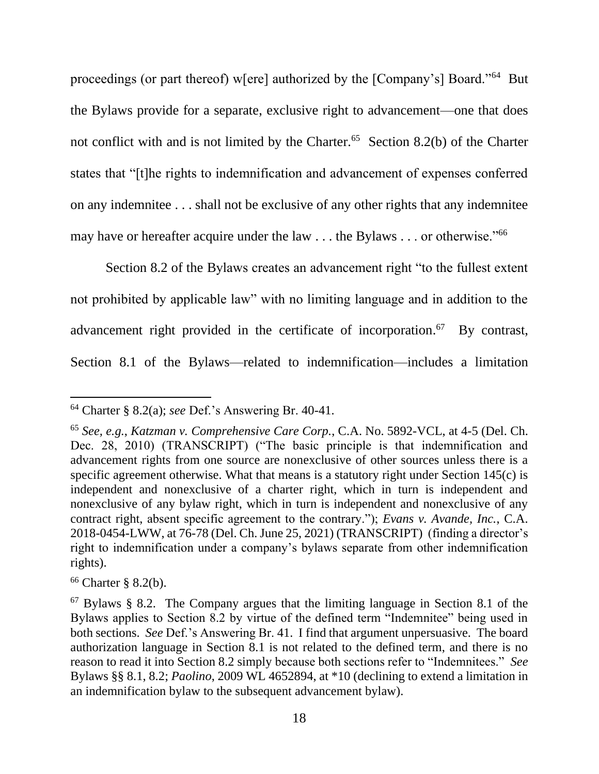proceedings (or part thereof) w[ere] authorized by the [Company's] Board."<sup>64</sup> But the Bylaws provide for a separate, exclusive right to advancement—one that does not conflict with and is not limited by the Charter.<sup>65</sup> Section 8.2(b) of the Charter states that "[t]he rights to indemnification and advancement of expenses conferred on any indemnitee . . . shall not be exclusive of any other rights that any indemnitee may have or hereafter acquire under the law  $\dots$  the Bylaws  $\dots$  or otherwise."<sup>66</sup>

Section 8.2 of the Bylaws creates an advancement right "to the fullest extent not prohibited by applicable law" with no limiting language and in addition to the advancement right provided in the certificate of incorporation.<sup>67</sup> By contrast, Section 8.1 of the Bylaws—related to indemnification—includes a limitation

<sup>64</sup> Charter § 8.2(a); *see* Def.'s Answering Br. 40-41.

<sup>65</sup> *See, e.g.*, *Katzman v. Comprehensive Care Corp.*, C.A. No. 5892-VCL, at 4-5 (Del. Ch. Dec. 28, 2010) (TRANSCRIPT) ("The basic principle is that indemnification and advancement rights from one source are nonexclusive of other sources unless there is a specific agreement otherwise. What that means is a statutory right under Section 145(c) is independent and nonexclusive of a charter right, which in turn is independent and nonexclusive of any bylaw right, which in turn is independent and nonexclusive of any contract right, absent specific agreement to the contrary."); *Evans v. Avande, Inc.*, C.A. 2018-0454-LWW, at 76-78 (Del. Ch. June 25, 2021) (TRANSCRIPT) (finding a director's right to indemnification under a company's bylaws separate from other indemnification rights).

 $66$  Charter § 8.2(b).

<sup>67</sup> Bylaws § 8.2. The Company argues that the limiting language in Section 8.1 of the Bylaws applies to Section 8.2 by virtue of the defined term "Indemnitee" being used in both sections. *See* Def.'s Answering Br. 41. I find that argument unpersuasive. The board authorization language in Section 8.1 is not related to the defined term, and there is no reason to read it into Section 8.2 simply because both sections refer to "Indemnitees." *See*  Bylaws §§ 8.1, 8.2; *Paolino*, 2009 WL 4652894, at \*10 (declining to extend a limitation in an indemnification bylaw to the subsequent advancement bylaw).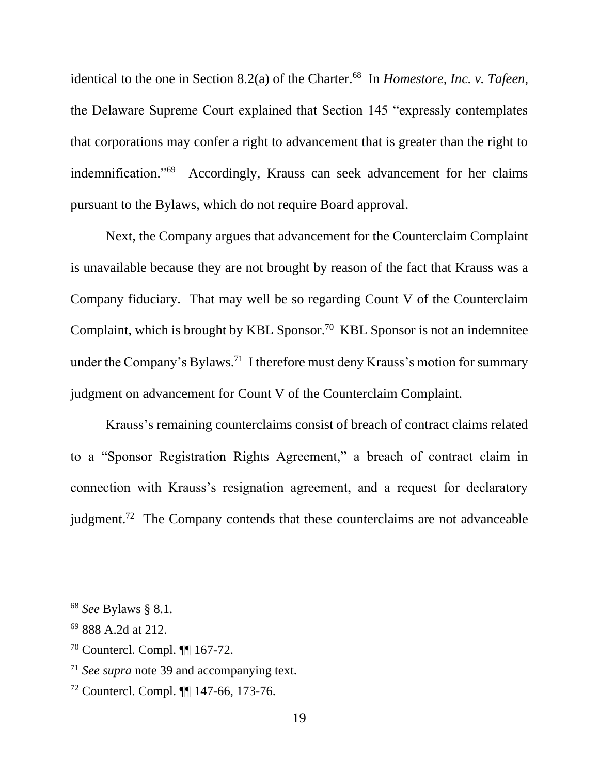identical to the one in Section 8.2(a) of the Charter.<sup>68</sup> In *Homestore, Inc. v. Tafeen*, the Delaware Supreme Court explained that Section 145 "expressly contemplates that corporations may confer a right to advancement that is greater than the right to indemnification."<sup>69</sup> Accordingly, Krauss can seek advancement for her claims pursuant to the Bylaws, which do not require Board approval.

Next, the Company argues that advancement for the Counterclaim Complaint is unavailable because they are not brought by reason of the fact that Krauss was a Company fiduciary. That may well be so regarding Count V of the Counterclaim Complaint, which is brought by KBL Sponsor.<sup>70</sup> KBL Sponsor is not an indemnitee under the Company's Bylaws.<sup>71</sup> I therefore must deny Krauss's motion for summary judgment on advancement for Count V of the Counterclaim Complaint.

Krauss's remaining counterclaims consist of breach of contract claims related to a "Sponsor Registration Rights Agreement," a breach of contract claim in connection with Krauss's resignation agreement, and a request for declaratory judgment.<sup>72</sup> The Company contends that these counterclaims are not advanceable

<sup>68</sup> *See* Bylaws § 8.1.

<sup>69</sup> 888 A.2d at 212.

<sup>70</sup> Countercl. Compl. ¶¶ 167-72.

<sup>71</sup> *See supra* note 39 and accompanying text.

<sup>72</sup> Countercl. Compl. ¶¶ 147-66, 173-76.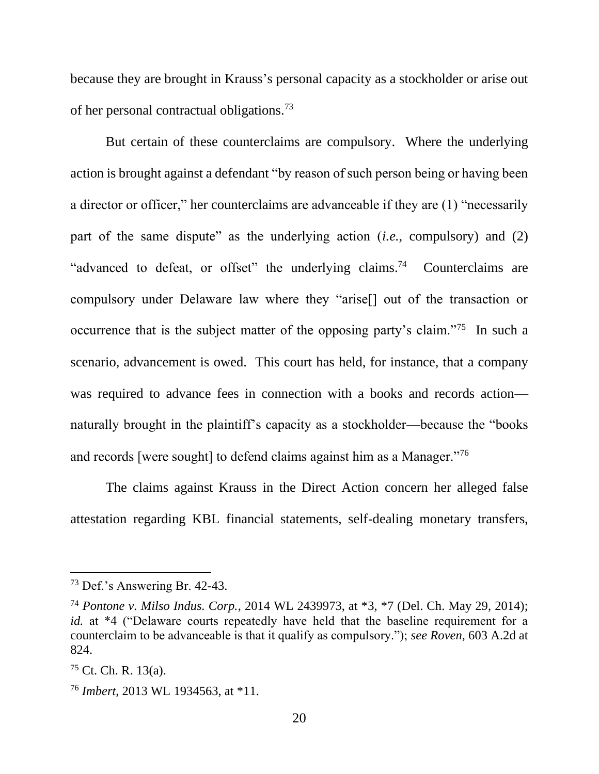because they are brought in Krauss's personal capacity as a stockholder or arise out of her personal contractual obligations.<sup>73</sup>

But certain of these counterclaims are compulsory. Where the underlying action is brought against a defendant "by reason of such person being or having been a director or officer," her counterclaims are advanceable if they are (1) "necessarily part of the same dispute" as the underlying action (*i.e.*, compulsory) and (2) "advanced to defeat, or offset" the underlying claims.<sup>74</sup> Counterclaims are compulsory under Delaware law where they "arise[] out of the transaction or occurrence that is the subject matter of the opposing party's claim."<sup>75</sup> In such a scenario, advancement is owed. This court has held, for instance, that a company was required to advance fees in connection with a books and records action naturally brought in the plaintiff's capacity as a stockholder—because the "books and records [were sought] to defend claims against him as a Manager."76

The claims against Krauss in the Direct Action concern her alleged false attestation regarding KBL financial statements, self-dealing monetary transfers,

<sup>73</sup> Def.'s Answering Br. 42-43.

<sup>74</sup> *Pontone v. Milso Indus. Corp.*, 2014 WL 2439973, at \*3, \*7 (Del. Ch. May 29, 2014); *id.* at \*4 ("Delaware courts repeatedly have held that the baseline requirement for a counterclaim to be advanceable is that it qualify as compulsory."); *see Roven*, 603 A.2d at 824.

 $75$  Ct. Ch. R. 13(a).

<sup>76</sup> *Imbert*, 2013 WL 1934563, at \*11.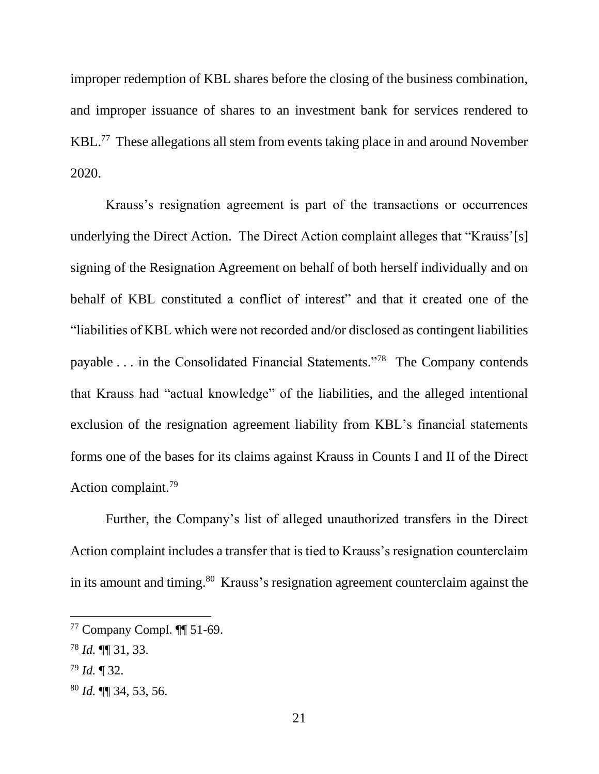improper redemption of KBL shares before the closing of the business combination, and improper issuance of shares to an investment bank for services rendered to KBL.<sup>77</sup> These allegations all stem from events taking place in and around November 2020.

Krauss's resignation agreement is part of the transactions or occurrences underlying the Direct Action. The Direct Action complaint alleges that "Krauss'[s] signing of the Resignation Agreement on behalf of both herself individually and on behalf of KBL constituted a conflict of interest" and that it created one of the "liabilities of KBL which were not recorded and/or disclosed as contingent liabilities payable . . . in the Consolidated Financial Statements."<sup>78</sup> The Company contends that Krauss had "actual knowledge" of the liabilities, and the alleged intentional exclusion of the resignation agreement liability from KBL's financial statements forms one of the bases for its claims against Krauss in Counts I and II of the Direct Action complaint.<sup>79</sup>

Further, the Company's list of alleged unauthorized transfers in the Direct Action complaint includes a transfer that is tied to Krauss's resignation counterclaim in its amount and timing.<sup>80</sup> Krauss's resignation agreement counterclaim against the

<sup>77</sup> Company Compl. ¶¶ 51-69.

<sup>78</sup> *Id.* ¶¶ 31, 33.

<sup>79</sup> *Id.* ¶ 32.

<sup>80</sup> *Id.* ¶¶ 34, 53, 56.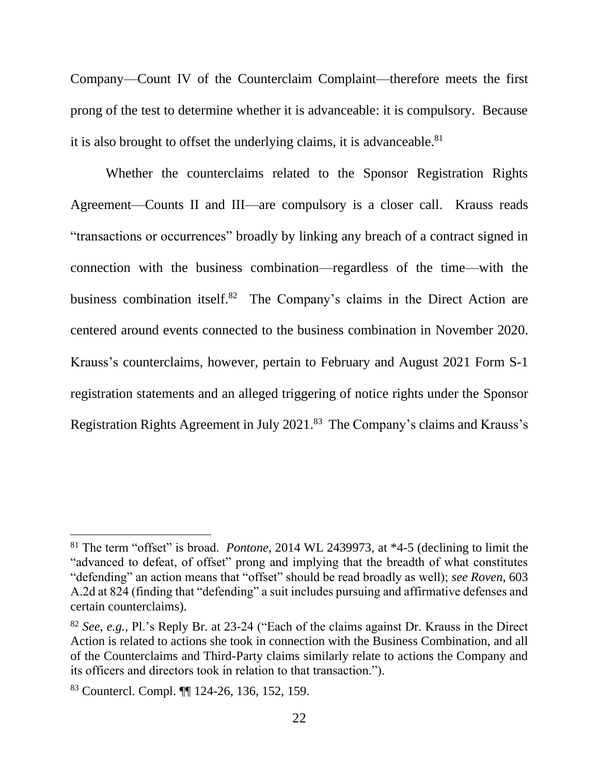Company—Count IV of the Counterclaim Complaint—therefore meets the first prong of the test to determine whether it is advanceable: it is compulsory. Because it is also brought to offset the underlying claims, it is advanceable.<sup>81</sup>

Whether the counterclaims related to the Sponsor Registration Rights Agreement—Counts II and III—are compulsory is a closer call. Krauss reads "transactions or occurrences" broadly by linking any breach of a contract signed in connection with the business combination—regardless of the time—with the business combination itself.<sup>82</sup> The Company's claims in the Direct Action are centered around events connected to the business combination in November 2020. Krauss's counterclaims, however, pertain to February and August 2021 Form S-1 registration statements and an alleged triggering of notice rights under the Sponsor Registration Rights Agreement in July 2021. 83 The Company's claims and Krauss's

<sup>81</sup> The term "offset" is broad. *Pontone*, 2014 WL 2439973, at \*4-5 (declining to limit the "advanced to defeat, of offset" prong and implying that the breadth of what constitutes "defending" an action means that "offset" should be read broadly as well); *see Roven*, 603 A.2d at 824 (finding that "defending" a suit includes pursuing and affirmative defenses and certain counterclaims).

<sup>82</sup> *See, e.g.*, Pl.'s Reply Br. at 23-24 ("Each of the claims against Dr. Krauss in the Direct Action is related to actions she took in connection with the Business Combination, and all of the Counterclaims and Third-Party claims similarly relate to actions the Company and its officers and directors took in relation to that transaction.").

<sup>83</sup> Countercl. Compl. ¶¶ 124-26, 136, 152, 159.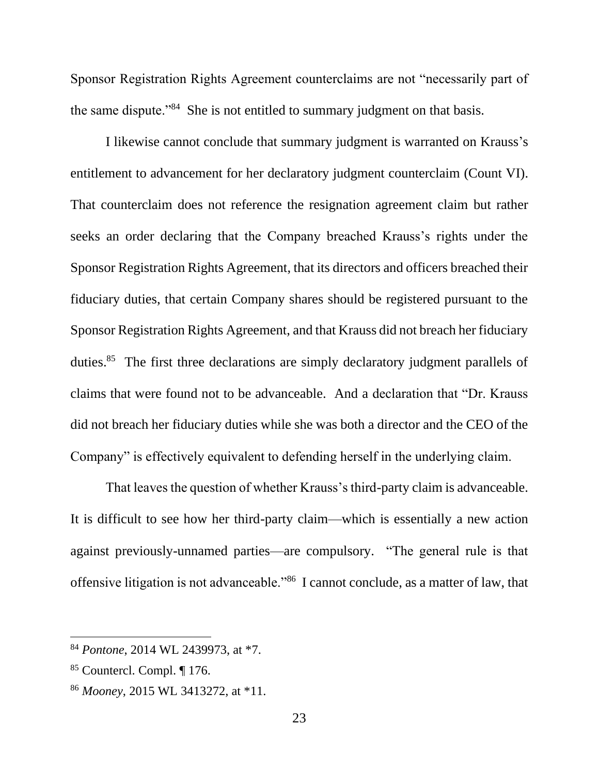Sponsor Registration Rights Agreement counterclaims are not "necessarily part of the same dispute."<sup>84</sup> She is not entitled to summary judgment on that basis.

I likewise cannot conclude that summary judgment is warranted on Krauss's entitlement to advancement for her declaratory judgment counterclaim (Count VI). That counterclaim does not reference the resignation agreement claim but rather seeks an order declaring that the Company breached Krauss's rights under the Sponsor Registration Rights Agreement, that its directors and officers breached their fiduciary duties, that certain Company shares should be registered pursuant to the Sponsor Registration Rights Agreement, and that Krauss did not breach her fiduciary duties.<sup>85</sup> The first three declarations are simply declaratory judgment parallels of claims that were found not to be advanceable. And a declaration that "Dr. Krauss did not breach her fiduciary duties while she was both a director and the CEO of the Company" is effectively equivalent to defending herself in the underlying claim.

That leaves the question of whether Krauss's third-party claim is advanceable. It is difficult to see how her third-party claim—which is essentially a new action against previously-unnamed parties—are compulsory. "The general rule is that offensive litigation is not advanceable."<sup>86</sup> I cannot conclude, as a matter of law, that

<sup>84</sup> *Pontone*, 2014 WL 2439973, at \*7.

<sup>85</sup> Countercl. Compl. ¶ 176.

<sup>86</sup> *Mooney*, 2015 WL 3413272, at \*11.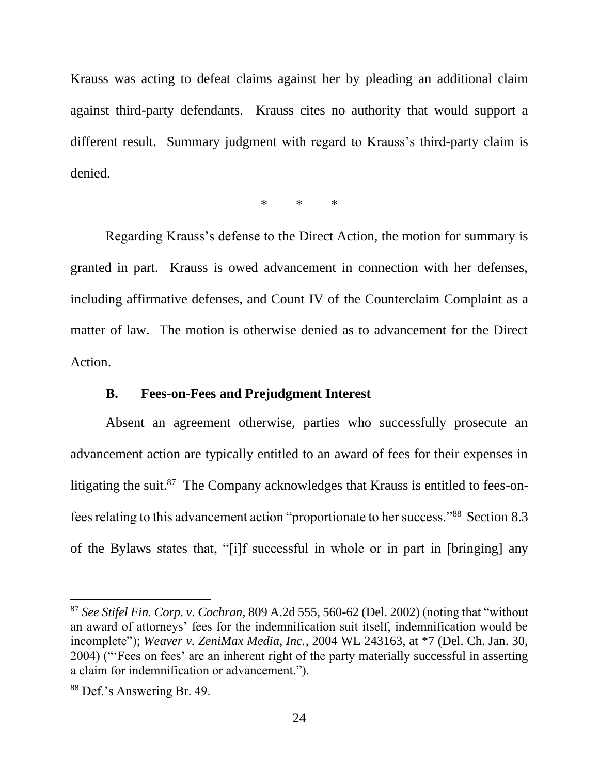Krauss was acting to defeat claims against her by pleading an additional claim against third-party defendants. Krauss cites no authority that would support a different result. Summary judgment with regard to Krauss's third-party claim is denied.

\* \* \*

Regarding Krauss's defense to the Direct Action, the motion for summary is granted in part. Krauss is owed advancement in connection with her defenses, including affirmative defenses, and Count IV of the Counterclaim Complaint as a matter of law. The motion is otherwise denied as to advancement for the Direct Action.

#### **B. Fees-on-Fees and Prejudgment Interest**

Absent an agreement otherwise, parties who successfully prosecute an advancement action are typically entitled to an award of fees for their expenses in litigating the suit.<sup>87</sup> The Company acknowledges that Krauss is entitled to fees-onfees relating to this advancement action "proportionate to her success."<sup>88</sup> Section 8.3 of the Bylaws states that, "[i]f successful in whole or in part in [bringing] any

<sup>87</sup> *See Stifel Fin. Corp. v. Cochran*, 809 A.2d 555, 560-62 (Del. 2002) (noting that "without an award of attorneys' fees for the indemnification suit itself, indemnification would be incomplete"); *Weaver v. ZeniMax Media, Inc.*, 2004 WL 243163, at \*7 (Del. Ch. Jan. 30, 2004) ("'Fees on fees' are an inherent right of the party materially successful in asserting a claim for indemnification or advancement.").

<sup>88</sup> Def.'s Answering Br. 49.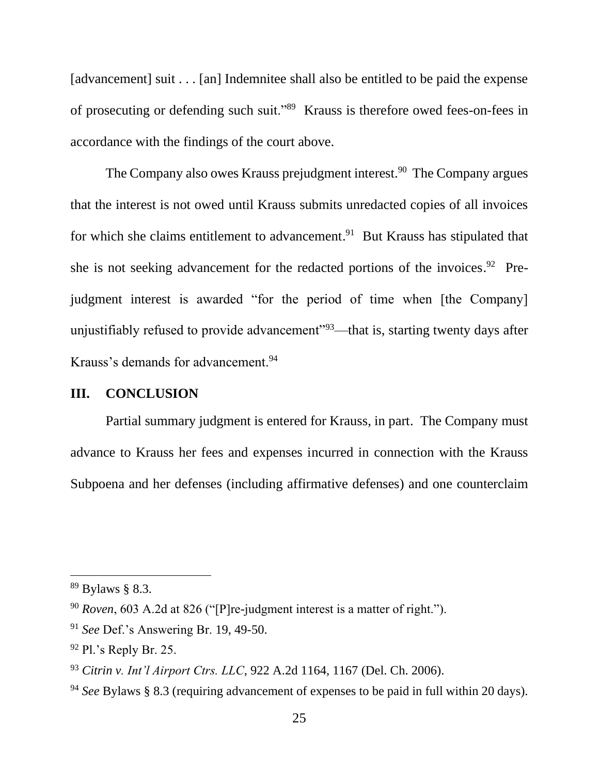[advancement] suit . . . [an] Indemnitee shall also be entitled to be paid the expense of prosecuting or defending such suit."<sup>89</sup> Krauss is therefore owed fees-on-fees in accordance with the findings of the court above.

The Company also owes Krauss prejudgment interest.<sup>90</sup> The Company argues that the interest is not owed until Krauss submits unredacted copies of all invoices for which she claims entitlement to advancement.<sup>91</sup> But Krauss has stipulated that she is not seeking advancement for the redacted portions of the invoices.<sup>92</sup> Prejudgment interest is awarded "for the period of time when [the Company] unjustifiably refused to provide advancement"<sup>93</sup>—that is, starting twenty days after Krauss's demands for advancement.<sup>94</sup>

## **III. CONCLUSION**

Partial summary judgment is entered for Krauss, in part. The Company must advance to Krauss her fees and expenses incurred in connection with the Krauss Subpoena and her defenses (including affirmative defenses) and one counterclaim

<sup>89</sup> Bylaws § 8.3.

<sup>90</sup> *Roven*, 603 A.2d at 826 ("[P]re-judgment interest is a matter of right.").

<sup>91</sup> *See* Def.'s Answering Br. 19, 49-50.

 $92$  Pl.'s Reply Br. 25.

<sup>93</sup> *Citrin v. Int'l Airport Ctrs. LLC*, 922 A.2d 1164, 1167 (Del. Ch. 2006).

<sup>94</sup> *See* Bylaws § 8.3 (requiring advancement of expenses to be paid in full within 20 days).